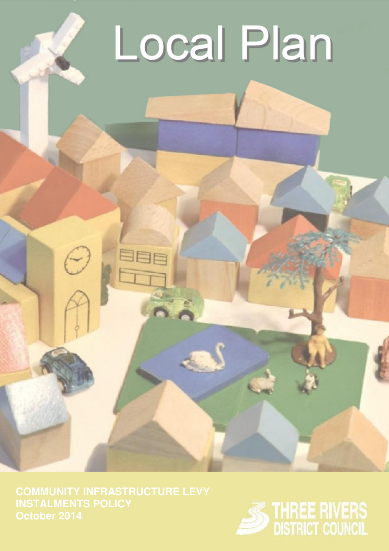## Local Plan

**October 2014**